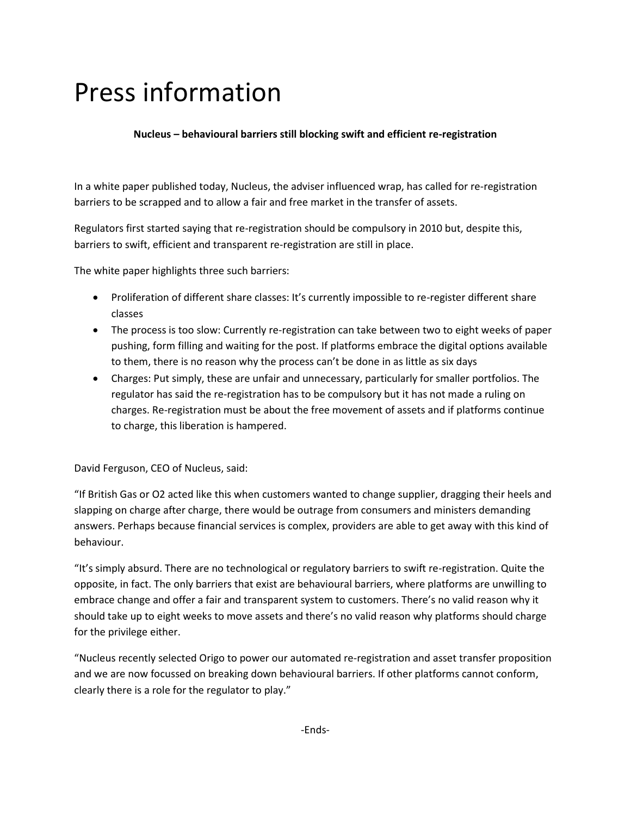# Press information

### **Nucleus – behavioural barriers still blocking swift and efficient re-registration**

In a white paper published today, Nucleus, the adviser influenced wrap, has called for re-registration barriers to be scrapped and to allow a fair and free market in the transfer of assets.

Regulators first started saying that re-registration should be compulsory in 2010 but, despite this, barriers to swift, efficient and transparent re-registration are still in place.

The white paper highlights three such barriers:

- Proliferation of different share classes: It's currently impossible to re-register different share classes
- The process is too slow: Currently re-registration can take between two to eight weeks of paper pushing, form filling and waiting for the post. If platforms embrace the digital options available to them, there is no reason why the process can't be done in as little as six days
- Charges: Put simply, these are unfair and unnecessary, particularly for smaller portfolios. The regulator has said the re-registration has to be compulsory but it has not made a ruling on charges. Re-registration must be about the free movement of assets and if platforms continue to charge, this liberation is hampered.

David Ferguson, CEO of Nucleus, said:

"If British Gas or O2 acted like this when customers wanted to change supplier, dragging their heels and slapping on charge after charge, there would be outrage from consumers and ministers demanding answers. Perhaps because financial services is complex, providers are able to get away with this kind of behaviour.

"It's simply absurd. There are no technological or regulatory barriers to swift re-registration. Quite the opposite, in fact. The only barriers that exist are behavioural barriers, where platforms are unwilling to embrace change and offer a fair and transparent system to customers. There's no valid reason why it should take up to eight weeks to move assets and there's no valid reason why platforms should charge for the privilege either.

"Nucleus recently selected Origo to power our automated re-registration and asset transfer proposition and we are now focussed on breaking down behavioural barriers. If other platforms cannot conform, clearly there is a role for the regulator to play."